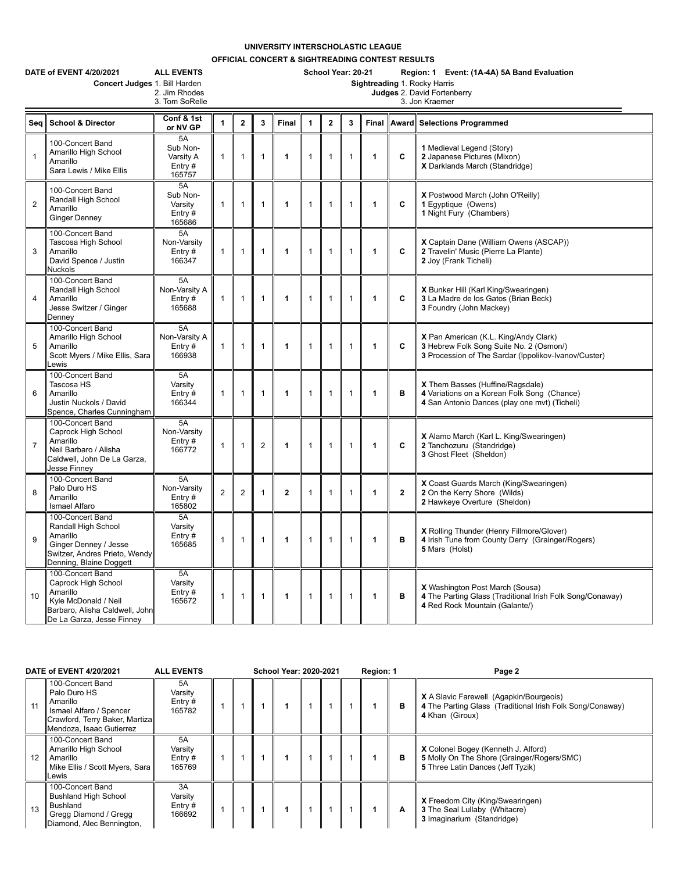## **UNIVERSITY INTERSCHOLASTIC LEAGUE**

**OFFICIAL CONCERT & SIGHTREADING CONTEST RESULTS**

| DATE of EVENT 4/20/2021<br><b>ALL EVENTS</b><br>Concert Judges 1. Bill Harden<br>2. Jim Rhodes<br>3. Tom SoRelle |                                                                                                                                            |                                                 |                |                |                |             |                | School Year: 20-21<br>Region: 1 Event: (1A-4A) 5A Band Evaluation<br>Sightreading 1. Rocky Harris<br>Judges 2. David Fortenberry<br>3. Jon Kraemer |              |              |              |                                                                                                                                          |  |  |  |
|------------------------------------------------------------------------------------------------------------------|--------------------------------------------------------------------------------------------------------------------------------------------|-------------------------------------------------|----------------|----------------|----------------|-------------|----------------|----------------------------------------------------------------------------------------------------------------------------------------------------|--------------|--------------|--------------|------------------------------------------------------------------------------------------------------------------------------------------|--|--|--|
| Seq                                                                                                              | <b>School &amp; Director</b>                                                                                                               | Conf & 1st<br>or NV GP                          | 1              | $\overline{2}$ | 3              | Final       | $\overline{1}$ | $\overline{2}$                                                                                                                                     | 3            | Final        |              | Award Selections Programmed                                                                                                              |  |  |  |
| $\mathbf{1}$                                                                                                     | 100-Concert Band<br>Amarillo High School<br>Amarillo<br>Sara Lewis / Mike Ellis                                                            | 5A<br>Sub Non-<br>Varsity A<br>Entry#<br>165757 | 1              | 1              | $\mathbf{1}$   | 1           | 1              | $\mathbf{1}$                                                                                                                                       | $\mathbf{1}$ | 1            | C            | 1 Medieval Legend (Story)<br>2 Japanese Pictures (Mixon)<br>X Darklands March (Standridge)                                               |  |  |  |
| $\overline{2}$                                                                                                   | 100-Concert Band<br>Randall High School<br>Amarillo<br><b>Ginger Denney</b>                                                                | 5A<br>Sub Non-<br>Varsity<br>Entry#<br>165686   | 1              | $\mathbf{1}$   | $\mathbf{1}$   | 1           | $\mathbf{1}$   | $\mathbf{1}$                                                                                                                                       | $\mathbf{1}$ | 1            | C            | X Postwood March (John O'Reilly)<br>1 Eqyptique (Owens)<br>1 Night Fury (Chambers)                                                       |  |  |  |
| 3                                                                                                                | 100-Concert Band<br>Tascosa High School<br>Amarillo<br>David Spence / Justin<br><b>Nuckols</b>                                             | 5A<br>Non-Varsity<br>Entry#<br>166347           | $\mathbf{1}$   | $\mathbf{1}$   | $\mathbf{1}$   | 1           | $\mathbf{1}$   | $\mathbf{1}$                                                                                                                                       | $\mathbf{1}$ | $\mathbf{1}$ | C            | X Captain Dane (William Owens (ASCAP))<br>2 Travelin' Music (Pierre La Plante)<br>2 Joy (Frank Ticheli)                                  |  |  |  |
| $\overline{4}$                                                                                                   | 100-Concert Band<br>Randall High School<br>Amarillo<br>Jesse Switzer / Ginger<br>Denney                                                    | 5A<br>Non-Varsity A<br>Entry $#$<br>165688      | $\mathbf{1}$   | $\mathbf{1}$   | $\mathbf{1}$   | 1           | $\mathbf{1}$   | $\mathbf{1}$                                                                                                                                       | $\mathbf{1}$ | 1            | C            | X Bunker Hill (Karl King/Swearingen)<br>3 La Madre de los Gatos (Brian Beck)<br>3 Foundry (John Mackey)                                  |  |  |  |
| 5                                                                                                                | 100-Concert Band<br>Amarillo High School<br>Amarillo<br>Scott Myers / Mike Ellis, Sara<br>_ewis                                            | 5A<br>Non-Varsity A<br>Entry#<br>166938         | $\mathbf{1}$   | $\mathbf{1}$   | $\mathbf{1}$   | 1           | $\mathbf{1}$   | $\mathbf{1}$                                                                                                                                       | $\mathbf{1}$ | 1            | C            | X Pan American (K.L. King/Andy Clark)<br>3 Hebrew Folk Song Suite No. 2 (Osmon/)<br>3 Procession of The Sardar (Ippolikov-Ivanov/Custer) |  |  |  |
| 6                                                                                                                | 100-Concert Band<br>Tascosa HS<br>Amarillo<br>Justin Nuckols / David<br>Spence, Charles Cunningham                                         | 5A<br>Varsity<br>Entry $#$<br>166344            | $\mathbf{1}$   | $\mathbf{1}$   | $\mathbf{1}$   | 1           | $\mathbf{1}$   | $\mathbf{1}$                                                                                                                                       | 1            | 1            | в            | X Them Basses (Huffine/Ragsdale)<br>4 Variations on a Korean Folk Song (Chance)<br>4 San Antonio Dances (play one mvt) (Ticheli)         |  |  |  |
| $\overline{7}$                                                                                                   | 100-Concert Band<br>Caprock High School<br>Amarillo<br>Neil Barbaro / Alisha<br>Caldwell, John De La Garza,<br>Jesse Finney                | 5A<br>Non-Varsity<br>Entry#<br>166772           | $\mathbf{1}$   | $\mathbf{1}$   | $\overline{2}$ | 1           | $\mathbf{1}$   | $\mathbf{1}$                                                                                                                                       | $\mathbf 1$  | $\mathbf{1}$ | C            | X Alamo March (Karl L. King/Swearingen)<br>2 Tanchozuru (Standridge)<br>3 Ghost Fleet (Sheldon)                                          |  |  |  |
| 8                                                                                                                | 100-Concert Band<br>Palo Duro HS<br>Amarillo<br>Ismael Alfaro                                                                              | 5A<br>Non-Varsity<br>Entry#<br>165802           | $\overline{2}$ | $\overline{2}$ | $\mathbf{1}$   | $\mathbf 2$ | $\mathbf{1}$   | $\mathbf{1}$                                                                                                                                       | $\mathbf{1}$ | $\mathbf{1}$ | $\mathbf{2}$ | X Coast Guards March (King/Swearingen)<br>2 On the Kerry Shore (Wilds)<br>2 Hawkeye Overture (Sheldon)                                   |  |  |  |
| 9                                                                                                                | 100-Concert Band<br>Randall High School<br>Amarillo<br>Ginger Denney / Jesse<br>Switzer, Andres Prieto, Wendy<br>Denning, Blaine Doggett   | 5A<br>Varsity<br>Entry#<br>165685               | 1              | $\mathbf{1}$   | $\mathbf{1}$   | 1           | $\mathbf{1}$   | $\mathbf{1}$                                                                                                                                       | $\mathbf{1}$ | 1            | B            | X Rolling Thunder (Henry Fillmore/Glover)<br>4 Irish Tune from County Derry (Grainger/Rogers)<br>5 Mars (Holst)                          |  |  |  |
| 10                                                                                                               | 100-Concert Band<br>Caprock High School<br>Amarillo<br>Kyle McDonald / Neil<br>Barbaro, Alisha Caldwell, John<br>De La Garza, Jesse Finney | 5A<br>Varsity<br>Entry#<br>165672               | 1              | $\mathbf{1}$   | 1              | 1           | $\mathbf{1}$   | $\mathbf{1}$                                                                                                                                       | $\mathbf{1}$ | $\mathbf{1}$ | в            | <b>X</b> Washington Post March (Sousa)<br>4 The Parting Glass (Traditional Irish Folk Song/Conaway)<br>4 Red Rock Mountain (Galante/)    |  |  |  |

|    | DATE of EVENT 4/20/2021                                                                                                               | <b>ALL EVENTS</b>                    | <b>School Year: 2020-2021</b> |  |  |  |  |  | Region: 1 |   | Page 2                                                                                                                         |
|----|---------------------------------------------------------------------------------------------------------------------------------------|--------------------------------------|-------------------------------|--|--|--|--|--|-----------|---|--------------------------------------------------------------------------------------------------------------------------------|
| 11 | 100-Concert Band<br>Palo Duro HS<br>Amarillo<br>Ismael Alfaro / Spencer<br>Crawford, Terry Baker, Martiza<br>Mendoza, Isaac Gutierrez | 5A<br>Varsity<br>Entry#<br>165782    |                               |  |  |  |  |  |           | в | <b>X</b> A Slavic Farewell (Agapkin/Bourgeois)<br>4 The Parting Glass (Traditional Irish Folk Song/Conaway)<br>4 Khan (Giroux) |
| 12 | 100-Concert Band<br>Amarillo High School<br>Amarillo<br>Mike Ellis / Scott Myers, Sara   <br>Lewis                                    | 5A<br>Varsity<br>Entry $#$<br>165769 |                               |  |  |  |  |  |           | в | X Colonel Bogey (Kenneth J. Alford)<br>5 Molly On The Shore (Grainger/Rogers/SMC)<br>5 Three Latin Dances (Jeff Tyzik)         |
| 13 | 100-Concert Band<br><b>Bushland High School</b><br>Bushland<br>Gregg Diamond / Gregg<br>Diamond, Alec Bennington,                     | 3A<br>Varsity<br>Entry $#$<br>166692 |                               |  |  |  |  |  |           | A | <b>X</b> Freedom City (King/Swearingen)<br>3 The Seal Lullaby (Whitacre)<br>3 Imaginarium (Standridge)                         |